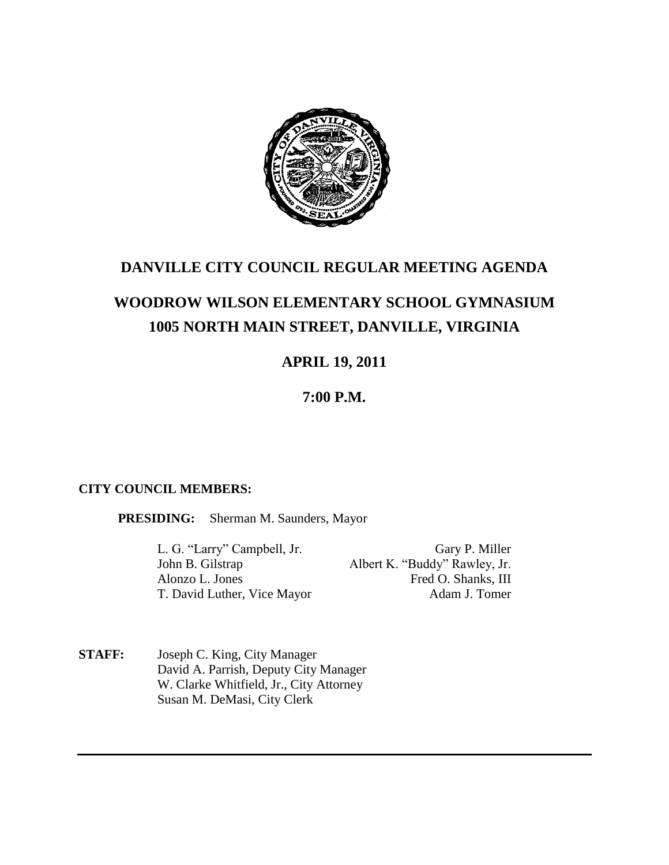

## **DANVILLE CITY COUNCIL REGULAR MEETING AGENDA**

# **WOODROW WILSON ELEMENTARY SCHOOL GYMNASIUM 1005 NORTH MAIN STREET, DANVILLE, VIRGINIA**

# **APRIL 19, 2011**

### **7:00 P.M.**

### **CITY COUNCIL MEMBERS:**

**PRESIDING:** Sherman M. Saunders, Mayor

L. G. "Larry" Campbell, Jr. Gary P. Miller John B. Gilstrap Albert K. "Buddy" Rawley, Jr. Alonzo L. Jones Fred O. Shanks, III T. David Luther, Vice Mayor Adam J. Tomer

**STAFF:** Joseph C. King, City Manager David A. Parrish, Deputy City Manager W. Clarke Whitfield, Jr., City Attorney Susan M. DeMasi, City Clerk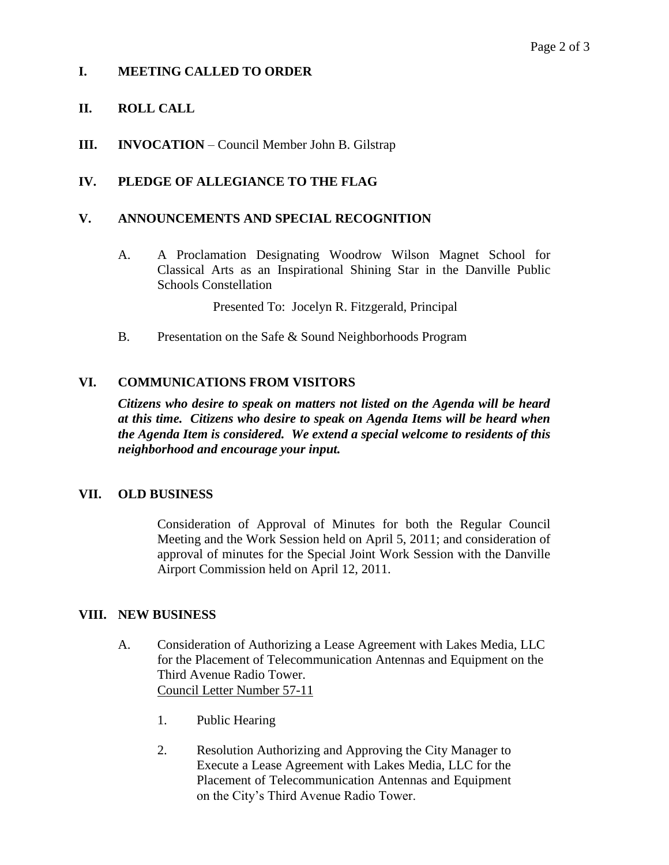#### **I. MEETING CALLED TO ORDER**

#### **II. ROLL CALL**

**III. INVOCATION** – Council Member John B. Gilstrap

#### **IV. PLEDGE OF ALLEGIANCE TO THE FLAG**

#### **V. ANNOUNCEMENTS AND SPECIAL RECOGNITION**

A. A Proclamation Designating Woodrow Wilson Magnet School for Classical Arts as an Inspirational Shining Star in the Danville Public Schools Constellation

Presented To: Jocelyn R. Fitzgerald, Principal

B. Presentation on the Safe & Sound Neighborhoods Program

#### **VI. COMMUNICATIONS FROM VISITORS**

*Citizens who desire to speak on matters not listed on the Agenda will be heard at this time. Citizens who desire to speak on Agenda Items will be heard when the Agenda Item is considered. We extend a special welcome to residents of this neighborhood and encourage your input.*

#### **VII. OLD BUSINESS**

Consideration of Approval of Minutes for both the Regular Council Meeting and the Work Session held on April 5, 2011; and consideration of approval of minutes for the Special Joint Work Session with the Danville Airport Commission held on April 12, 2011.

#### **VIII. NEW BUSINESS**

- A. Consideration of Authorizing a Lease Agreement with Lakes Media, LLC for the Placement of Telecommunication Antennas and Equipment on the Third Avenue Radio Tower. Council Letter Number 57-11
	- 1. Public Hearing
	- 2. Resolution Authorizing and Approving the City Manager to Execute a Lease Agreement with Lakes Media, LLC for the Placement of Telecommunication Antennas and Equipment on the City's Third Avenue Radio Tower.